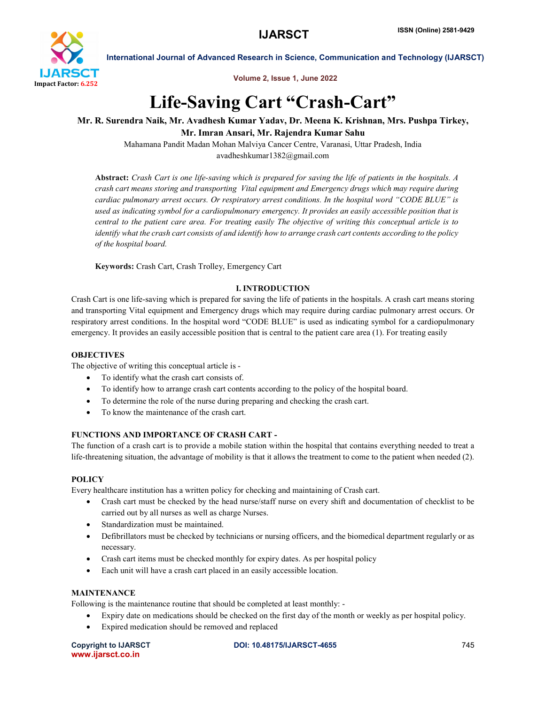

Volume 2, Issue 1, June 2022

## Life-Saving Cart "Crash-Cart"

## Mr. R. Surendra Naik, Mr. Avadhesh Kumar Yadav, Dr. Meena K. Krishnan, Mrs. Pushpa Tirkey, Mr. Imran Ansari, Mr. Rajendra Kumar Sahu

Mahamana Pandit Madan Mohan Malviya Cancer Centre, Varanasi, Uttar Pradesh, India avadheshkumar1382@gmail.com

Abstract: *Crash Cart is one life-saving which is prepared for saving the life of patients in the hospitals. A crash cart means storing and transporting Vital equipment and Emergency drugs which may require during cardiac pulmonary arrest occurs. Or respiratory arrest conditions. In the hospital word "CODE BLUE" is used as indicating symbol for a cardiopulmonary emergency. It provides an easily accessible position that is central to the patient care area. For treating easily The objective of writing this conceptual article is to identify what the crash cart consists of and identify how to arrange crash cart contents according to the policy of the hospital board.*

Keywords: Crash Cart, Crash Trolley, Emergency Cart

## I. INTRODUCTION

Crash Cart is one life-saving which is prepared for saving the life of patients in the hospitals. A crash cart means storing and transporting Vital equipment and Emergency drugs which may require during cardiac pulmonary arrest occurs. Or respiratory arrest conditions. In the hospital word "CODE BLUE" is used as indicating symbol for a cardiopulmonary emergency. It provides an easily accessible position that is central to the patient care area (1). For treating easily

#### **OBJECTIVES**

The objective of writing this conceptual article is -

- To identify what the crash cart consists of.
- To identify how to arrange crash cart contents according to the policy of the hospital board.
- To determine the role of the nurse during preparing and checking the crash cart.
- To know the maintenance of the crash cart.

#### FUNCTIONS AND IMPORTANCE OF CRASH CART -

The function of a crash cart is to provide a mobile station within the hospital that contains everything needed to treat a life-threatening situation, the advantage of mobility is that it allows the treatment to come to the patient when needed (2).

#### **POLICY**

Every healthcare institution has a written policy for checking and maintaining of Crash cart.

- Crash cart must be checked by the head nurse/staff nurse on every shift and documentation of checklist to be carried out by all nurses as well as charge Nurses.
- Standardization must be maintained.
- Defibrillators must be checked by technicians or nursing officers, and the biomedical department regularly or as necessary.
- Crash cart items must be checked monthly for expiry dates. As per hospital policy
- Each unit will have a crash cart placed in an easily accessible location.

## **MAINTENANCE**

Following is the maintenance routine that should be completed at least monthly: -

- Expiry date on medications should be checked on the first day of the month or weekly as per hospital policy.
- Expired medication should be removed and replaced

www.ijarsct.co.in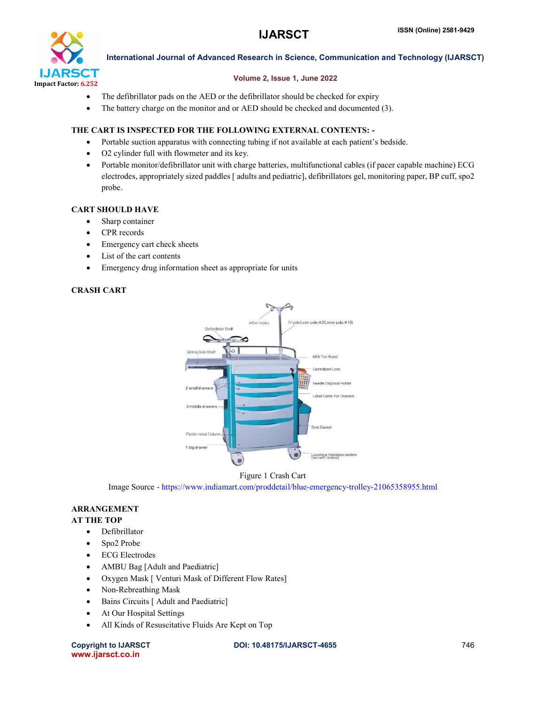

#### Volume 2, Issue 1, June 2022

- The defibrillator pads on the AED or the defibrillator should be checked for expiry
- The battery charge on the monitor and or AED should be checked and documented (3).

#### THE CART IS INSPECTED FOR THE FOLLOWING EXTERNAL CONTENTS: -

- Portable suction apparatus with connecting tubing if not available at each patient's bedside.
- O2 cylinder full with flowmeter and its key.
- Portable monitor/defibrillator unit with charge batteries, multifunctional cables (if pacer capable machine) ECG electrodes, appropriately sized paddles [ adults and pediatric], defibrillators gel, monitoring paper, BP cuff, spo2 probe.

#### CART SHOULD HAVE

- Sharp container
- CPR records
- Emergency cart check sheets
- List of the cart contents
- Emergency drug information sheet as appropriate for units

#### CRASH CART



#### Figure 1 Crash Cart

Image Source - https://www.indiamart.com/proddetail/blue-emergency-trolley-21065358955.html

#### ARRANGEMENT

## AT THE TOP

- Defibrillator
- Spo2 Probe
- ECG Electrodes
- AMBU Bag [Adult and Paediatric]
- Oxygen Mask [ Venturi Mask of Different Flow Rates]
- Non-Rebreathing Mask
- Bains Circuits [ Adult and Paediatric]
- At Our Hospital Settings
- All Kinds of Resuscitative Fluids Are Kept on Top

www.ijarsct.co.in

Copyright to IJARSCT **DOI: 10.48175/IJARSCT-4655** 746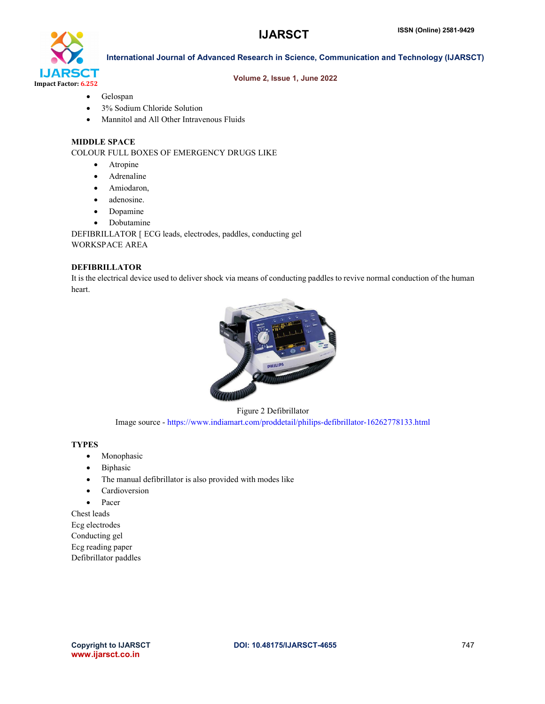

#### Volume 2, Issue 1, June 2022

- Gelospan
- 3% Sodium Chloride Solution
- Mannitol and All Other Intravenous Fluids

#### MIDDLE SPACE

COLOUR FULL BOXES OF EMERGENCY DRUGS LIKE

- Atropine
- Adrenaline
- Amiodaron,
- adenosine.
- Dopamine
- Dobutamine

DEFIBRILLATOR [ ECG leads, electrodes, paddles, conducting gel WORKSPACE AREA

#### DEFIBRILLATOR

It is the electrical device used to deliver shock via means of conducting paddles to revive normal conduction of the human heart.



Figure 2 Defibrillator Image source - https://www.indiamart.com/proddetail/philips-defibrillator-16262778133.html

#### **TYPES**

- Monophasic
- Biphasic
- The manual defibrillator is also provided with modes like
- Cardioversion
- Pacer

Chest leads Ecg electrodes Conducting gel Ecg reading paper Defibrillator paddles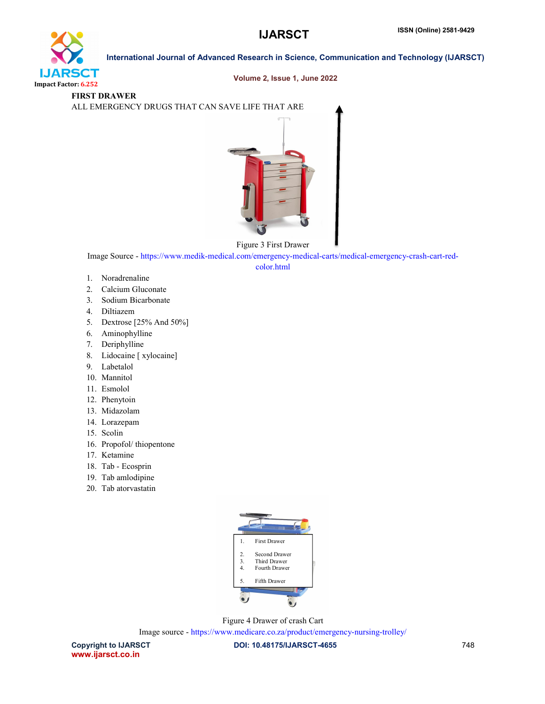

#### Volume 2, Issue 1, June 2022

## FIRST DRAWER

ALL EMERGENCY DRUGS THAT CAN SAVE LIFE THAT ARE



Figure 3 First Drawer

Image Source - https://www.medik-medical.com/emergency-medical-carts/medical-emergency-crash-cart-red-

color.html

- 1. Noradrenaline
- 2. Calcium Gluconate
- 3. Sodium Bicarbonate
- 4. Diltiazem
- 5. Dextrose [25% And 50%]
- 6. Aminophylline
- 7. Deriphylline
- 8. Lidocaine [ xylocaine]
- 9. Labetalol
- 10. Mannitol
- 11. Esmolol
- 12. Phenytoin
- 13. Midazolam
- 14. Lorazepam
- 15. Scolin
- 16. Propofol/ thiopentone
- 17. Ketamine
- 18. Tab Ecosprin
- 19. Tab amlodipine
- 20. Tab atorvastatin



Figure 4 Drawer of crash Cart

Image source - https://www.medicare.co.za/product/emergency-nursing-trolley/

Copyright to IJARSCT **DOI: 10.48175/IJARSCT-4655** 748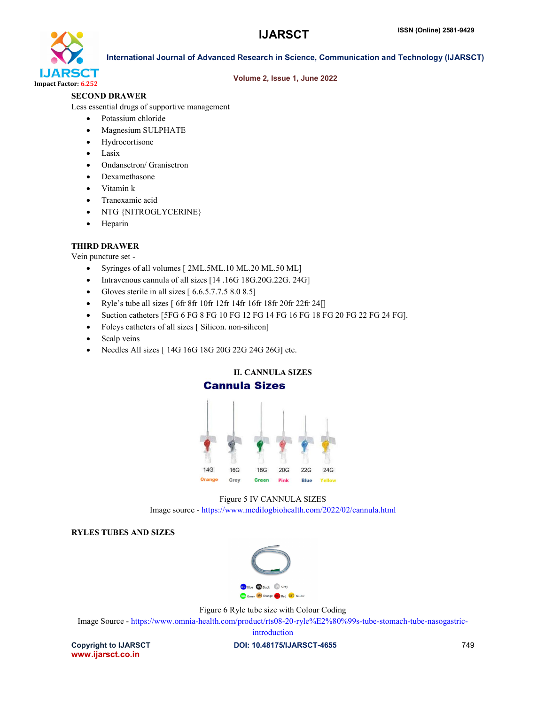

#### Volume 2, Issue 1, June 2022

#### SECOND DRAWER

Less essential drugs of supportive management

- Potassium chloride
- Magnesium SULPHATE
- Hydrocortisone
- $\bullet$  Lasix
- Ondansetron/ Granisetron
- Dexamethasone
- Vitamin k
- Tranexamic acid
- NTG {NITROGLYCERINE}
- Heparin

#### THIRD DRAWER

Vein puncture set -

- Syringes of all volumes [ 2ML.5ML.10 ML.20 ML.50 ML]
- Intravenous cannula of all sizes [14.16G 18G.20G.22G. 24G]
- Gloves sterile in all sizes  $[6.6.5.7.7.5 8.0 8.5]$
- Ryle's tube all sizes [ 6fr 8fr 10fr 12fr 14fr 16fr 18fr 20fr 22fr 24[]
- Suction catheters [5FG 6 FG 8 FG 10 FG 12 FG 14 FG 16 FG 18 FG 20 FG 22 FG 24 FG].
- Foleys catheters of all sizes [ Silicon. non-silicon]
- Scalp veins
- Needles All sizes [ 14G 16G 18G 20G 22G 24G 26G] etc.





#### RYLES TUBES AND SIZES



Figure 6 Ryle tube size with Colour Coding

Image Source - https://www.omnia-health.com/product/rts08-20-ryle%E2%80%99s-tube-stomach-tube-nasogastric-

introduction

www.ijarsct.co.in

Copyright to IJARSCT **DOI: 10.48175/IJARSCT-4655** 749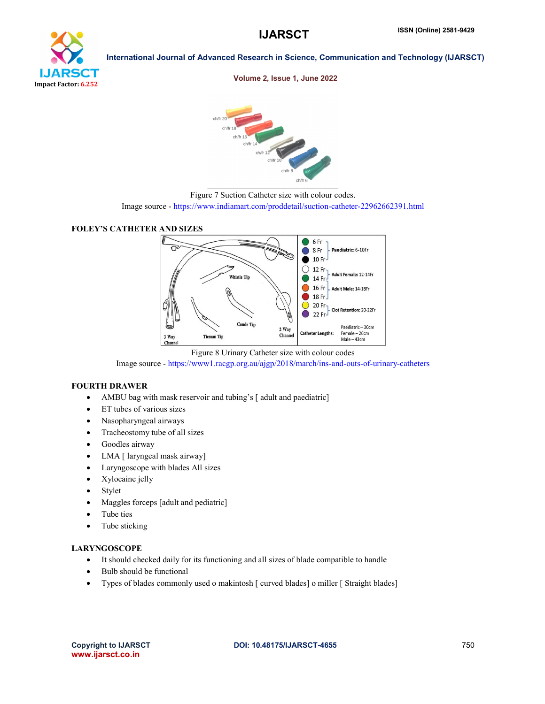# ea r Impact Factor: 6.252

International Journal of Advanced Research in Science, Communication and Technology (IJARSCT)

Volume 2, Issue 1, June 2022



Figure 7 Suction Catheter size with colour codes.

Image source - https://www.indiamart.com/proddetail/suction-catheter-22962662391.html





Figure 8 Urinary Catheter size with colour codes

Image source - https://www1.racgp.org.au/ajgp/2018/march/ins-and-outs-of-urinary-catheters

#### FOURTH DRAWER

- AMBU bag with mask reservoir and tubing's [ adult and paediatric]
- ET tubes of various sizes
- Nasopharyngeal airways
- Tracheostomy tube of all sizes
- Goodles airway
- LMA [ laryngeal mask airway]
- Laryngoscope with blades All sizes
- Xylocaine jelly
- Stylet
- Maggles forceps [adult and pediatric]
- Tube ties
- Tube sticking

#### LARYNGOSCOPE

- It should checked daily for its functioning and all sizes of blade compatible to handle
- Bulb should be functional
- Types of blades commonly used o makintosh [ curved blades] o miller [ Straight blades]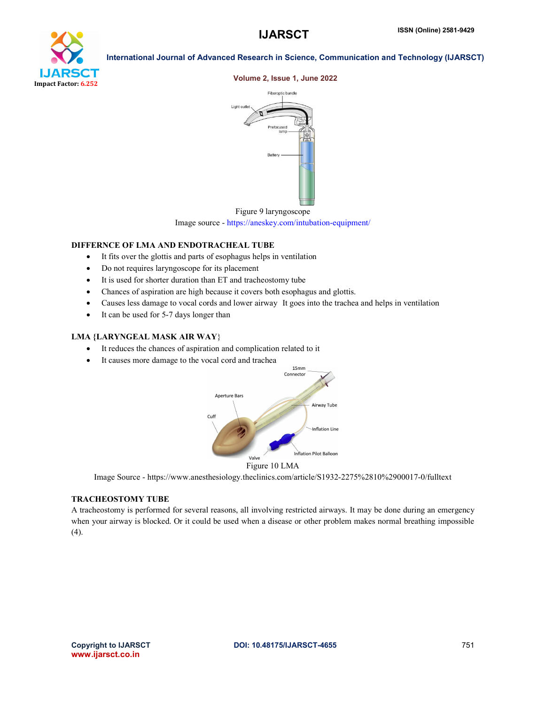

## Volume 2, Issue 1, June 2022





#### DIFFERNCE OF LMA AND ENDOTRACHEAL TUBE

- It fits over the glottis and parts of esophagus helps in ventilation
- Do not requires laryngoscope for its placement
- It is used for shorter duration than ET and tracheostomy tube
- Chances of aspiration are high because it covers both esophagus and glottis.
- Causes less damage to vocal cords and lower airway It goes into the trachea and helps in ventilation
- It can be used for 5-7 days longer than

#### LMA {LARYNGEAL MASK AIR WAY}

- It reduces the chances of aspiration and complication related to it
- It causes more damage to the vocal cord and trachea



Figure 10 LMA

Image Source - https://www.anesthesiology.theclinics.com/article/S1932-2275%2810%2900017-0/fulltext

#### TRACHEOSTOMY TUBE

A tracheostomy is performed for several reasons, all involving restricted airways. It may be done during an emergency when your airway is blocked. Or it could be used when a disease or other problem makes normal breathing impossible (4).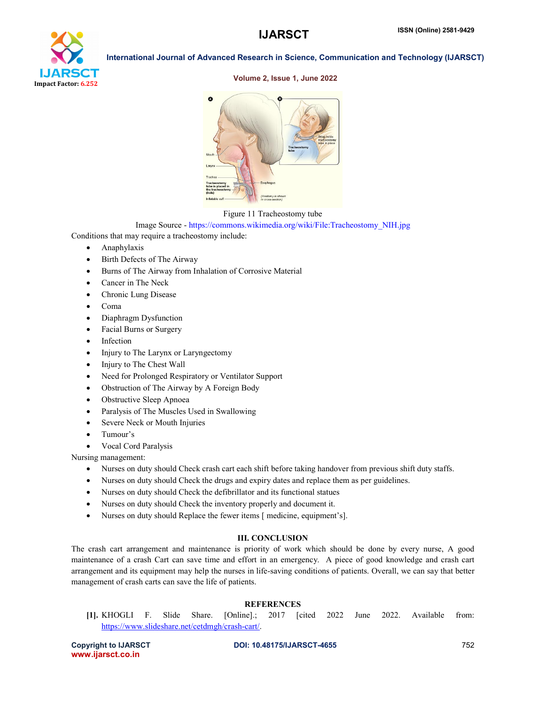

#### Volume 2, Issue 1, June 2022



#### Figure 11 Tracheostomy tube

Image Source - https://commons.wikimedia.org/wiki/File:Tracheostomy\_NIH.jpg

Conditions that may require a tracheostomy include:

- Anaphylaxis
- Birth Defects of The Airway
- Burns of The Airway from Inhalation of Corrosive Material
- Cancer in The Neck
- Chronic Lung Disease
- Coma
- Diaphragm Dysfunction
- Facial Burns or Surgery
- Infection
- Injury to The Larynx or Laryngectomy
- Injury to The Chest Wall
- Need for Prolonged Respiratory or Ventilator Support
- Obstruction of The Airway by A Foreign Body
- Obstructive Sleep Apnoea
- Paralysis of The Muscles Used in Swallowing
- Severe Neck or Mouth Injuries
- Tumour's
- Vocal Cord Paralysis

Nursing management:

- Nurses on duty should Check crash cart each shift before taking handover from previous shift duty staffs.
- Nurses on duty should Check the drugs and expiry dates and replace them as per guidelines.
- Nurses on duty should Check the defibrillator and its functional statues
- Nurses on duty should Check the inventory properly and document it.
- Nurses on duty should Replace the fewer items [ medicine, equipment's].

#### III. CONCLUSION

The crash cart arrangement and maintenance is priority of work which should be done by every nurse, A good maintenance of a crash Cart can save time and effort in an emergency. A piece of good knowledge and crash cart arrangement and its equipment may help the nurses in life-saving conditions of patients. Overall, we can say that better management of crash carts can save the life of patients.

#### **REFERENCES**

[1]. KHOGLI F. Slide Share. [Online].; 2017 [cited 2022 June 2022. Available from: https://www.slideshare.net/cetdmgh/crash-cart/.

www.ijarsct.co.in